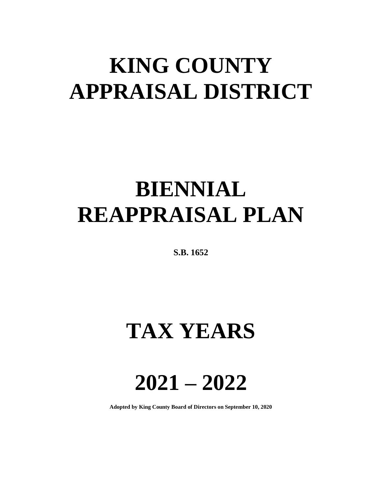# **KING COUNTY APPRAISAL DISTRICT**

# **BIENNIAL REAPPRAISAL PLAN**

**S.B. 1652**

## **TAX YEARS**

**2021 – 2022**

**Adopted by King County Board of Directors on September 10, 2020**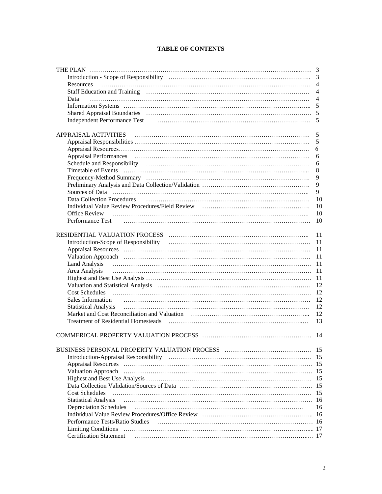|  |  | <b>TABLE OF CONTENTS</b> |
|--|--|--------------------------|
|--|--|--------------------------|

|                                   | 3              |
|-----------------------------------|----------------|
|                                   |                |
| <b>Resources</b>                  | $\overline{4}$ |
|                                   | $\overline{4}$ |
| Data                              | $\overline{4}$ |
|                                   | 5              |
|                                   |                |
|                                   | 5              |
|                                   |                |
|                                   | 5              |
|                                   | 5              |
|                                   | 6              |
|                                   | 6              |
|                                   | 6              |
|                                   | 8              |
|                                   | 9              |
|                                   | 9              |
|                                   | 9              |
| <b>Data Collection Procedures</b> | 10             |
|                                   | 10             |
| <b>Office Review</b>              | 10             |
| Performance Test                  | 10             |
|                                   |                |
|                                   | 11             |
|                                   | 11             |
|                                   | 11             |
|                                   | 11             |
|                                   |                |
| Area Analysis                     |                |
|                                   |                |
|                                   | 12             |
|                                   | 12             |
| Sales Information                 | 12             |
| <b>Statistical Analysis</b>       | 12             |
|                                   | 12             |
|                                   | 13             |
|                                   |                |
|                                   | 14             |
|                                   |                |
|                                   | -15            |
|                                   |                |
|                                   |                |
| <b>Valuation Approach</b>         |                |
|                                   | 15             |
|                                   | 15             |
| <b>Cost Schedules</b>             | 15             |
| <b>Statistical Analysis</b>       | 16             |
| <b>Depreciation Schedules</b>     | 16             |
|                                   | 16             |
| Performance Tests/Ratio Studies   |                |
|                                   |                |
| <b>Certification Statement</b>    |                |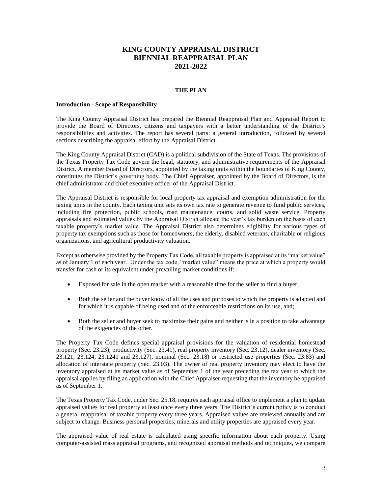## **KING COUNTY APPRAISAL DISTRICT BIENNIAL REAPPRAISAL PLAN 2021-2022**

## **THE PLAN**

#### **Introduction - Scope of Responsibility**

The King County Appraisal District has prepared the Biennial Reappraisal Plan and Appraisal Report to provide the Board of Directors, citizens and taxpayers with a better understanding of the District's responsibilities and activities. The report has several parts: a general introduction, followed by several sections describing the appraisal effort by the Appraisal District.

The King County Appraisal District (CAD) is a political subdivision of the State of Texas. The provisions of the Texas Property Tax Code govern the legal, statutory, and administrative requirements of the Appraisal District. A member Board of Directors, appointed by the taxing units within the boundaries of King County, constitutes the District's governing body. The Chief Appraiser, appointed by the Board of Directors, is the chief administrator and chief executive officer of the Appraisal District.

The Appraisal District is responsible for local property tax appraisal and exemption administration for the taxing units in the county. Each taxing unit sets its own tax rate to generate revenue to fund public services, including fire protection, public schools, road maintenance, courts, and solid waste service. Property appraisals and estimated values by the Appraisal District allocate the year's tax burden on the basis of each taxable property's market value. The Appraisal District also determines eligibility for various types of property tax exemptions such as those for homeowners, the elderly, disabled veterans, charitable or religious organizations, and agricultural productivity valuation.

Except as otherwise provided by the Property Tax Code, all taxable property is appraised at its "market value" as of January 1 of each year. Under the tax code, "market value" means the price at which a property would transfer for cash or its equivalent under prevailing market conditions if:

- Exposed for sale in the open market with a reasonable time for the seller to find a buyer;
- Both the seller and the buyer know of all the uses and purposes to which the property is adapted and for which it is capable of being used and of the enforceable restrictions on its use, and;
- Both the seller and buyer seek to maximize their gains and neither is in a position to take advantage of the exigencies of the other.

The Property Tax Code defines special appraisal provisions for the valuation of residential homestead property (Sec. 23.23), productivity (Sec. 23.41), real property inventory (Sec. 23.12), dealer inventory (Sec. 23.121, 23.124, 23.1241 and 23.127), nominal (Sec. 23.18) or restricted use properties (Sec. 23.83) and allocation of interstate property (Sec. 23.03). The owner of real property inventory may elect to have the inventory appraised at its market value as of September 1 of the year preceding the tax year to which the appraisal applies by filing an application with the Chief Appraiser requesting that the inventory be appraised as of September 1.

The Texas Property Tax Code, under Sec. 25.18, requires each appraisal office to implement a plan to update appraised values for real property at least once every three years. The District's current policy is to conduct a general reappraisal of taxable property every three years. Appraised values are reviewed annually and are subject to change. Business personal properties, minerals and utility properties are appraised every year.

The appraised value of real estate is calculated using specific information about each property. Using computer-assisted mass appraisal programs, and recognized appraisal methods and techniques, we compare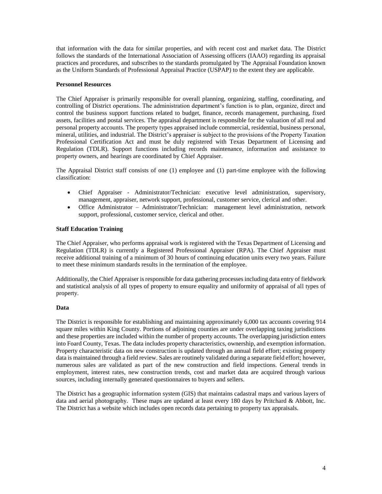that information with the data for similar properties, and with recent cost and market data. The District follows the standards of the International Association of Assessing officers (IAAO) regarding its appraisal practices and procedures, and subscribes to the standards promulgated by The Appraisal Foundation known as the Uniform Standards of Professional Appraisal Practice (USPAP) to the extent they are applicable.

## **Personnel Resources**

The Chief Appraiser is primarily responsible for overall planning, organizing, staffing, coordinating, and controlling of District operations. The administration department's function is to plan, organize, direct and control the business support functions related to budget, finance, records management, purchasing, fixed assets, facilities and postal services. The appraisal department is responsible for the valuation of all real and personal property accounts. The property types appraised include commercial, residential, business personal, mineral, utilities, and industrial. The District's appraiser is subject to the provisions of the Property Taxation Professional Certification Act and must be duly registered with Texas Department of Licensing and Regulation (TDLR). Support functions including records maintenance, information and assistance to property owners, and hearings are coordinated by Chief Appraiser.

The Appraisal District staff consists of one (1) employee and (1) part-time employee with the following classification:

- Chief Appraiser Administrator/Technician: executive level administration, supervisory, management, appraiser, network support, professional, customer service, clerical and other.
- Office Administrator Administrator/Technician: management level administration, network support, professional, customer service, clerical and other.

#### **Staff Education Training**

The Chief Appraiser, who performs appraisal work is registered with the Texas Department of Licensing and Regulation (TDLR) is currently a Registered Professional Appraiser (RPA). The Chief Appraiser must receive additional training of a minimum of 30 hours of continuing education units every two years. Failure to meet these minimum standards results in the termination of the employee.

Additionally, the Chief Appraiser is responsible for data gathering processes including data entry of fieldwork and statistical analysis of all types of property to ensure equality and uniformity of appraisal of all types of property.

#### **Data**

The District is responsible for establishing and maintaining approximately 6,000 tax accounts covering 914 square miles within King County. Portions of adjoining counties are under overlapping taxing jurisdictions and these properties are included within the number of property accounts. The overlapping jurisdiction enters into Foard County, Texas. The data includes property characteristics, ownership, and exemption information. Property characteristic data on new construction is updated through an annual field effort; existing property data is maintained through a field review. Sales are routinely validated during a separate field effort; however, numerous sales are validated as part of the new construction and field inspections. General trends in employment, interest rates, new construction trends, cost and market data are acquired through various sources, including internally generated questionnaires to buyers and sellers.

The District has a geographic information system (GIS) that maintains cadastral maps and various layers of data and aerial photography. These maps are updated at least every 180 days by Pritchard & Abbott, Inc. The District has a website which includes open records data pertaining to property tax appraisals.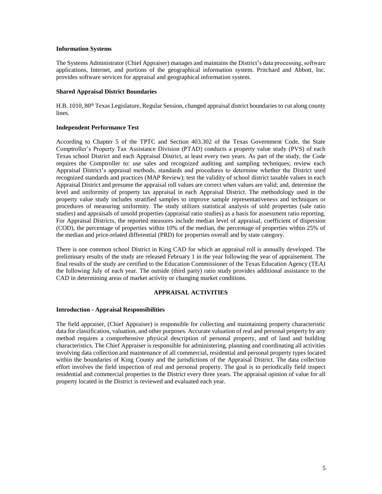#### **Information Systems**

The Systems Administrator (Chief Appraiser) manages and maintains the District's data processing, software applications, Internet, and portions of the geographical information system. Pritchard and Abbott, Inc. provides software services for appraisal and geographical information system.

#### **Shared Appraisal District Boundaries**

H.B. 1010, 80<sup>th</sup> Texas Legislature, Regular Session, changed appraisal district boundaries to cut along county lines.

#### **Independent Performance Test**

According to Chapter 5 of the TPTC and Section 403.302 of the Texas Government Code, the State Comptroller's Property Tax Assistance Division (PTAD) conducts a property value study (PVS) of each Texas school District and each Appraisal District, at least every two years. As part of the study, the Code requires the Comptroller to: use sales and recognized auditing and sampling techniques; review each Appraisal District's appraisal methods, standards and procedures to determine whether the District used recognized standards and practices (MAP Review); test the validity of school district taxable values in each Appraisal District and presume the appraisal roll values are correct when values are valid; and, determine the level and uniformity of property tax appraisal in each Appraisal District. The methodology used in the property value study includes stratified samples to improve sample representativeness and techniques or procedures of measuring uniformity. The study utilizes statistical analysis of sold properties (sale ratio studies) and appraisals of unsold properties (appraisal ratio studies) as a basis for assessment ratio reporting. For Appraisal Districts, the reported measures include median level of appraisal, coefficient of dispersion (COD), the percentage of properties within 10% of the median, the percentage of properties within 25% of the median and price-related differential (PRD) for properties overall and by state category.

There is one common school District in King CAD for which an appraisal roll is annually developed. The preliminary results of the study are released February 1 in the year following the year of appraisement. The final results of the study are certified to the Education Commissioner of the Texas Education Agency (TEA) the following July of each year. The outside (third party) ratio study provides additional assistance to the CAD in determining areas of market activity or changing market conditions.

#### **APPRAISAL ACTIVITIES**

#### **Introduction - Appraisal Responsibilities**

The field appraiser, (Chief Appraiser) is responsible for collecting and maintaining property characteristic data for classification, valuation, and other purposes. Accurate valuation of real and personal property by any method requires a comprehensive physical description of personal property, and of land and building characteristics. The Chief Appraiser is responsible for administering, planning and coordinating all activities involving data collection and maintenance of all commercial, residential and personal property types located within the boundaries of King County and the jurisdictions of the Appraisal District. The data collection effort involves the field inspection of real and personal property. The goal is to periodically field inspect residential and commercial properties in the District every three years. The appraisal opinion of value for all property located in the District is reviewed and evaluated each year.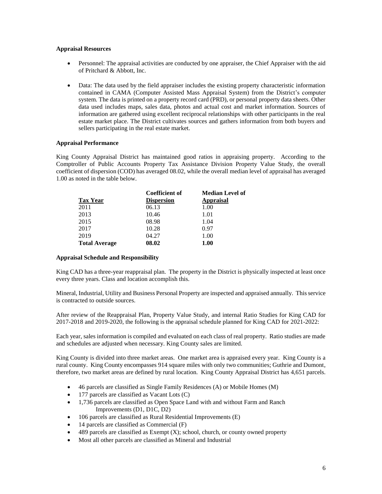## **Appraisal Resources**

- Personnel: The appraisal activities are conducted by one appraiser, the Chief Appraiser with the aid of Pritchard & Abbott, Inc.
- Data: The data used by the field appraiser includes the existing property characteristic information contained in CAMA (Computer Assisted Mass Appraisal System) from the District's computer system. The data is printed on a property record card (PRD), or personal property data sheets. Other data used includes maps, sales data, photos and actual cost and market information. Sources of information are gathered using excellent reciprocal relationships with other participants in the real estate market place. The District cultivates sources and gathers information from both buyers and sellers participating in the real estate market.

## **Appraisal Performance**

King County Appraisal District has maintained good ratios in appraising property. According to the Comptroller of Public Accounts Property Tax Assistance Division Property Value Study, the overall coefficient of dispersion (COD) has averaged 08.02, while the overall median level of appraisal has averaged 1.00 as noted in the table below.

|                      | <b>Coefficient of</b> | <b>Median Level of</b> |
|----------------------|-----------------------|------------------------|
| <b>Tax Year</b>      | <b>Dispersion</b>     | <b>Appraisal</b>       |
| 2011                 | 06.13                 | 1.00                   |
| 2013                 | 10.46                 | 1.01                   |
| 2015                 | 08.98                 | 1.04                   |
| 2017                 | 10.28                 | 0.97                   |
| 2019                 | 04.27                 | 1.00                   |
| <b>Total Average</b> | 08.02                 | 1.00                   |

#### **Appraisal Schedule and Responsibility**

King CAD has a three-year reappraisal plan. The property in the District is physically inspected at least once every three years. Class and location accomplish this.

Mineral, Industrial, Utility and Business Personal Property are inspected and appraised annually. This service is contracted to outside sources.

After review of the Reappraisal Plan, Property Value Study, and internal Ratio Studies for King CAD for 2017-2018 and 2019-2020, the following is the appraisal schedule planned for King CAD for 2021-2022:

Each year, sales information is compiled and evaluated on each class of real property. Ratio studies are made and schedules are adjusted when necessary. King County sales are limited.

King County is divided into three market areas. One market area is appraised every year. King County is a rural county. King County encompasses 914 square miles with only two communities; Guthrie and Dumont, therefore, two market areas are defined by rural location. King County Appraisal District has 4,651 parcels.

- 46 parcels are classified as Single Family Residences (A) or Mobile Homes (M)
- 177 parcels are classified as Vacant Lots (C)
- 1,736 parcels are classified as Open Space Land with and without Farm and Ranch Improvements (D1, D1C, D2)
- 106 parcels are classified as Rural Residential Improvements (E)
- 14 parcels are classified as Commercial (F)
- $\bullet$  489 parcels are classified as Exempt (X); school, church, or county owned property
- Most all other parcels are classified as Mineral and Industrial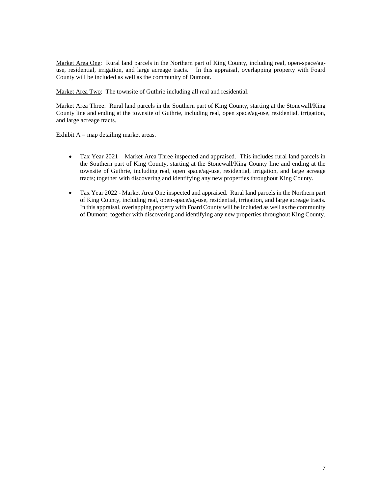Market Area One: Rural land parcels in the Northern part of King County, including real, open-space/aguse, residential, irrigation, and large acreage tracts. In this appraisal, overlapping property with Foard County will be included as well as the community of Dumont.

Market Area Two: The townsite of Guthrie including all real and residential.

Market Area Three: Rural land parcels in the Southern part of King County, starting at the Stonewall/King County line and ending at the townsite of Guthrie, including real, open space/ag-use, residential, irrigation, and large acreage tracts.

Exhibit  $A = map$  detailing market areas.

- Tax Year 2021 Market Area Three inspected and appraised. This includes rural land parcels in the Southern part of King County, starting at the Stonewall/King County line and ending at the townsite of Guthrie, including real, open space/ag-use, residential, irrigation, and large acreage tracts; together with discovering and identifying any new properties throughout King County.
- Tax Year 2022 Market Area One inspected and appraised. Rural land parcels in the Northern part of King County, including real, open-space/ag-use, residential, irrigation, and large acreage tracts. In this appraisal, overlapping property with Foard County will be included as well as the community of Dumont; together with discovering and identifying any new properties throughout King County.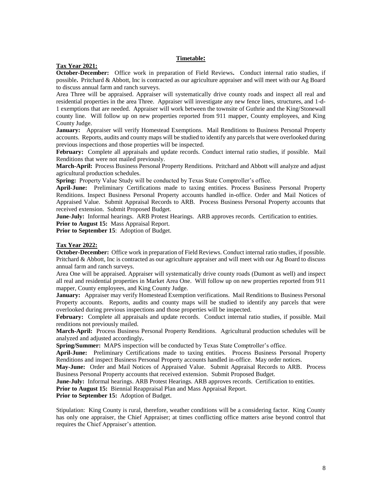## **Timetable:**

#### **Tax Year 2021:**

**October-December:** Office work in preparation of Field Reviews**.** Conduct internal ratio studies, if possible**.** Pritchard & Abbott, Inc is contracted as our agriculture appraiser and will meet with our Ag Board to discuss annual farm and ranch surveys.

Area Three will be appraised. Appraiser will systematically drive county roads and inspect all real and residential properties in the area Three. Appraiser will investigate any new fence lines, structures, and 1-d-1 exemptions that are needed. Appraiser will work between the townsite of Guthrie and the King/Stonewall county line. Will follow up on new properties reported from 911 mapper, County employees, and King County Judge.

**January:** Appraiser will verify Homestead Exemptions. Mail Renditions to Business Personal Property accounts. Reports, audits and county maps will be studied to identify any parcels that were overlooked during previous inspections and those properties will be inspected.

**February:** Complete all appraisals and update records. Conduct internal ratio studies, if possible. Mail Renditions that were not mailed previously.

**March-April:** Process Business Personal Property Renditions. Pritchard and Abbott will analyze and adjust agricultural production schedules.

**Spring:** Property Value Study will be conducted by Texas State Comptroller's office.

**April-June:** Preliminary Certifications made to taxing entities. Process Business Personal Property Renditions. Inspect Business Personal Property accounts handled in-office. Order and Mail Notices of Appraised Value. Submit Appraisal Records to ARB. Process Business Personal Property accounts that received extension. Submit Proposed Budget.

**June-July:** Informal hearings. ARB Protest Hearings. ARB approves records. Certification to entities. **Prior to August 15:** Mass Appraisal Report.

**Prior to September 15**: Adoption of Budget.

### **Tax Year 2022:**

**October-December:** Office work in preparation of Field Reviews. Conduct internal ratio studies, if possible. Pritchard & Abbott, Inc is contracted as our agriculture appraiser and will meet with our Ag Board to discuss annual farm and ranch surveys.

Area One will be appraised. Appraiser will systematically drive county roads (Dumont as well) and inspect all real and residential properties in Market Area One. Will follow up on new properties reported from 911 mapper, County employees, and King County Judge.

**January:** Appraiser may verify Homestead Exemption verifications. Mail Renditions to Business Personal Property accounts. Reports, audits and county maps will be studied to identify any parcels that were overlooked during previous inspections and those properties will be inspected.

**February:** Complete all appraisals and update records. Conduct internal ratio studies, if possible. Mail renditions not previously mailed.

**March-April:** Process Business Personal Property Renditions. Agricultural production schedules will be analyzed and adjusted accordingly**.** 

**Spring/Summer:** MAPS inspection will be conducted by Texas State Comptroller's office.

**April-June:** Preliminary Certifications made to taxing entities. Process Business Personal Property Renditions and inspect Business Personal Property accounts handled in-office. May order notices.

**May-June:** Order and Mail Notices of Appraised Value. Submit Appraisal Records to ARB. Process Business Personal Property accounts that received extension. Submit Proposed Budget.

**June-July:** Informal hearings. ARB Protest Hearings. ARB approves records. Certification to entities.

**Prior to August 15:** Biennial Reappraisal Plan and Mass Appraisal Report.

**Prior to September 15:** Adoption of Budget.

Stipulation: King County is rural, therefore, weather conditions will be a considering factor. King County has only one appraiser, the Chief Appraiser; at times conflicting office matters arise beyond control that requires the Chief Appraiser's attention.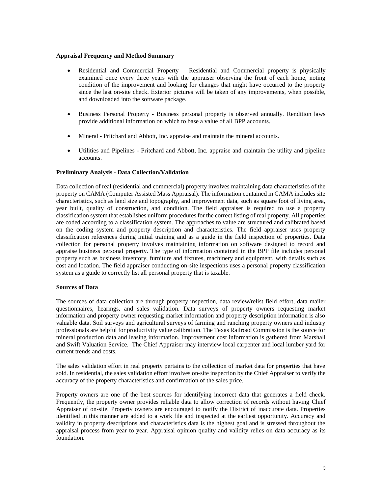#### **Appraisal Frequency and Method Summary**

- Residential and Commercial Property Residential and Commercial property is physically examined once every three years with the appraiser observing the front of each home, noting condition of the improvement and looking for changes that might have occurred to the property since the last on-site check. Exterior pictures will be taken of any improvements, when possible, and downloaded into the software package.
- Business Personal Property Business personal property is observed annually. Rendition laws provide additional information on which to base a value of all BPP accounts.
- Mineral Pritchard and Abbott, Inc. appraise and maintain the mineral accounts.
- Utilities and Pipelines Pritchard and Abbott, Inc. appraise and maintain the utility and pipeline accounts.

#### **Preliminary Analysis - Data Collection/Validation**

Data collection of real (residential and commercial) property involves maintaining data characteristics of the property on CAMA (Computer Assisted Mass Appraisal). The information contained in CAMA includes site characteristics, such as land size and topography, and improvement data, such as square foot of living area, year built, quality of construction, and condition. The field appraiser is required to use a property classification system that establishes uniform procedures for the correct listing of real property. All properties are coded according to a classification system. The approaches to value are structured and calibrated based on the coding system and property description and characteristics. The field appraiser uses property classification references during initial training and as a guide in the field inspection of properties. Data collection for personal property involves maintaining information on software designed to record and appraise business personal property. The type of information contained in the BPP file includes personal property such as business inventory, furniture and fixtures, machinery and equipment, with details such as cost and location. The field appraiser conducting on-site inspections uses a personal property classification system as a guide to correctly list all personal property that is taxable.

#### **Sources of Data**

The sources of data collection are through property inspection, data review/relist field effort, data mailer questionnaires, hearings, and sales validation. Data surveys of property owners requesting market information and property owner requesting market information and property description information is also valuable data. Soil surveys and agricultural surveys of farming and ranching property owners and industry professionals are helpful for productivity value calibration. The Texas Railroad Commission is the source for mineral production data and leasing information. Improvement cost information is gathered from Marshall and Swift Valuation Service. The Chief Appraiser may interview local carpenter and local lumber yard for current trends and costs.

The sales validation effort in real property pertains to the collection of market data for properties that have sold. In residential, the sales validation effort involves on-site inspection by the Chief Appraiser to verify the accuracy of the property characteristics and confirmation of the sales price.

Property owners are one of the best sources for identifying incorrect data that generates a field check. Frequently, the property owner provides reliable data to allow correction of records without having Chief Appraiser of on-site. Property owners are encouraged to notify the District of inaccurate data. Properties identified in this manner are added to a work file and inspected at the earliest opportunity. Accuracy and validity in property descriptions and characteristics data is the highest goal and is stressed throughout the appraisal process from year to year. Appraisal opinion quality and validity relies on data accuracy as its foundation.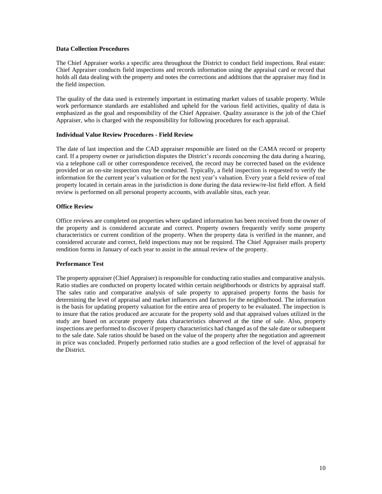## **Data Collection Procedures**

The Chief Appraiser works a specific area throughout the District to conduct field inspections. Real estate: Chief Appraiser conducts field inspections and records information using the appraisal card or record that holds all data dealing with the property and notes the corrections and additions that the appraiser may find in the field inspection.

The quality of the data used is extremely important in estimating market values of taxable property. While work performance standards are established and upheld for the various field activities, quality of data is emphasized as the goal and responsibility of the Chief Appraiser. Quality assurance is the job of the Chief Appraiser, who is charged with the responsibility for following procedures for each appraisal.

## **Individual Value Review Procedures - Field Review**

The date of last inspection and the CAD appraiser responsible are listed on the CAMA record or property card. If a property owner or jurisdiction disputes the District's records concerning the data during a hearing, via a telephone call or other correspondence received, the record may be corrected based on the evidence provided or an on-site inspection may be conducted. Typically, a field inspection is requested to verify the information for the current year's valuation or for the next year's valuation. Every year a field review of real property located in certain areas in the jurisdiction is done during the data review/re-list field effort. A field review is performed on all personal property accounts, with available situs, each year.

## **Office Review**

Office reviews are completed on properties where updated information has been received from the owner of the property and is considered accurate and correct. Property owners frequently verify some property characteristics or current condition of the property. When the property data is verified in the manner, and considered accurate and correct, field inspections may not be required. The Chief Appraiser mails property rendition forms in January of each year to assist in the annual review of the property.

## **Performance Test**

The property appraiser (Chief Appraiser) is responsible for conducting ratio studies and comparative analysis. Ratio studies are conducted on property located within certain neighborhoods or districts by appraisal staff. The sales ratio and comparative analysis of sale property to appraised property forms the basis for determining the level of appraisal and market influences and factors for the neighborhood. The information is the basis for updating property valuation for the entire area of property to be evaluated. The inspection is to insure that the ratios produced are accurate for the property sold and that appraised values utilized in the study are based on accurate property data characteristics observed at the time of sale. Also, property inspections are performed to discover if property characteristics had changed as of the sale date or subsequent to the sale date. Sale ratios should be based on the value of the property after the negotiation and agreement in price was concluded. Properly performed ratio studies are a good reflection of the level of appraisal for the District.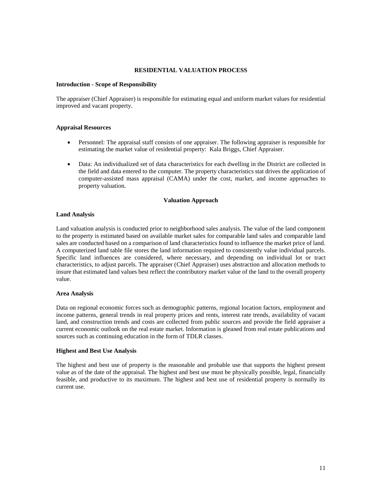## **RESIDENTIAL VALUATION PROCESS**

#### **Introduction - Scope of Responsibility**

The appraiser (Chief Appraiser) is responsible for estimating equal and uniform market values for residential improved and vacant property.

#### **Appraisal Resources**

- Personnel: The appraisal staff consists of one appraiser. The following appraiser is responsible for estimating the market value of residential property: Kala Briggs, Chief Appraiser.
- Data: An individualized set of data characteristics for each dwelling in the District are collected in the field and data entered to the computer. The property characteristics stat drives the application of computer-assisted mass appraisal (CAMA) under the cost, market, and income approaches to property valuation.

#### **Valuation Approach**

#### **Land Analysis**

Land valuation analysis is conducted prior to neighborhood sales analysis. The value of the land component to the property is estimated based on available market sales for comparable land sales and comparable land sales are conducted based on a comparison of land characteristics found to influence the market price of land. A computerized land table file stores the land information required to consistently value individual parcels. Specific land influences are considered, where necessary, and depending on individual lot or tract characteristics, to adjust parcels. The appraiser (Chief Appraiser) uses abstraction and allocation methods to insure that estimated land values best reflect the contributory market value of the land to the overall property value.

#### **Area Analysis**

Data on regional economic forces such as demographic patterns, regional location factors, employment and income patterns, general trends in real property prices and rents, interest rate trends, availability of vacant land, and construction trends and costs are collected from public sources and provide the field appraiser a current economic outlook on the real estate market. Information is gleaned from real estate publications and sources such as continuing education in the form of TDLR classes.

#### **Highest and Best Use Analysis**

The highest and best use of property is the reasonable and probable use that supports the highest present value as of the date of the appraisal. The highest and best use must be physically possible, legal, financially feasible, and productive to its maximum. The highest and best use of residential property is normally its current use.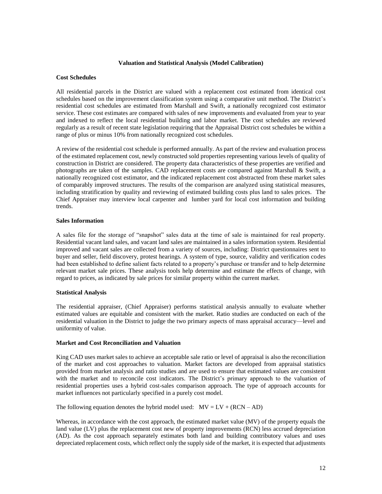#### **Valuation and Statistical Analysis (Model Calibration)**

## **Cost Schedules**

All residential parcels in the District are valued with a replacement cost estimated from identical cost schedules based on the improvement classification system using a comparative unit method. The District's residential cost schedules are estimated from Marshall and Swift, a nationally recognized cost estimator service. These cost estimates are compared with sales of new improvements and evaluated from year to year and indexed to reflect the local residential building and labor market. The cost schedules are reviewed regularly as a result of recent state legislation requiring that the Appraisal District cost schedules be within a range of plus or minus 10% from nationally recognized cost schedules.

A review of the residential cost schedule is performed annually. As part of the review and evaluation process of the estimated replacement cost, newly constructed sold properties representing various levels of quality of construction in District are considered. The property data characteristics of these properties are verified and photographs are taken of the samples. CAD replacement costs are compared against Marshall & Swift, a nationally recognized cost estimator, and the indicated replacement cost abstracted from these market sales of comparably improved structures. The results of the comparison are analyzed using statistical measures, including stratification by quality and reviewing of estimated building costs plus land to sales prices. The Chief Appraiser may interview local carpenter and lumber yard for local cost information and building trends.

#### **Sales Information**

A sales file for the storage of "snapshot" sales data at the time of sale is maintained for real property. Residential vacant land sales, and vacant land sales are maintained in a sales information system. Residential improved and vacant sales are collected from a variety of sources, including: District questionnaires sent to buyer and seller, field discovery, protest hearings. A system of type, source, validity and verification codes had been established to define salient facts related to a property's purchase or transfer and to help determine relevant market sale prices. These analysis tools help determine and estimate the effects of change, with regard to prices, as indicated by sale prices for similar property within the current market.

#### **Statistical Analysis**

The residential appraiser, (Chief Appraiser) performs statistical analysis annually to evaluate whether estimated values are equitable and consistent with the market. Ratio studies are conducted on each of the residential valuation in the District to judge the two primary aspects of mass appraisal accuracy—level and uniformity of value.

## **Market and Cost Reconciliation and Valuation**

King CAD uses market sales to achieve an acceptable sale ratio or level of appraisal is also the reconciliation of the market and cost approaches to valuation. Market factors are developed from appraisal statistics provided from market analysis and ratio studies and are used to ensure that estimated values are consistent with the market and to reconcile cost indicators. The District's primary approach to the valuation of residential properties uses a hybrid cost-sales comparison approach. The type of approach accounts for market influences not particularly specified in a purely cost model.

The following equation denotes the hybrid model used:  $MV = LV + (RCN - AD)$ 

Whereas, in accordance with the cost approach, the estimated market value (MV) of the property equals the land value (LV) plus the replacement cost new of property improvements (RCN) less accrued depreciation (AD). As the cost approach separately estimates both land and building contributory values and uses depreciated replacement costs, which reflect only the supply side of the market, it is expected that adjustments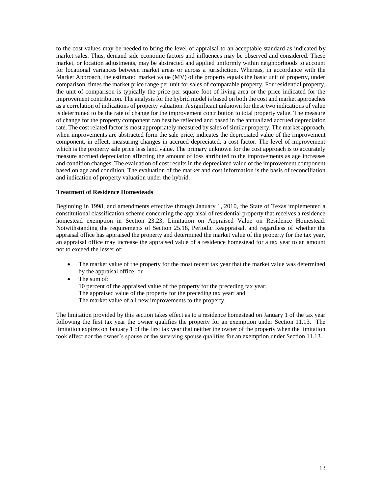to the cost values may be needed to bring the level of appraisal to an acceptable standard as indicated by market sales. Thus, demand side economic factors and influences may be observed and considered. These market, or location adjustments, may be abstracted and applied uniformly within neighborhoods to account for locational variances between market areas or across a jurisdiction. Whereas, in accordance with the Market Approach, the estimated market value (MV) of the property equals the basic unit of property, under comparison, times the market price range per unit for sales of comparable property. For residential property, the unit of comparison is typically the price per square foot of living area or the price indicated for the improvement contribution. The analysis for the hybrid model is based on both the cost and market approaches as a correlation of indications of property valuation. A significant unknown for these two indications of value is determined to be the rate of change for the improvement contribution to total property value. The measure of change for the property component can best be reflected and based in the annualized accrued depreciation rate. The cost related factor is most appropriately measured by sales of similar property. The market approach, when improvements are abstracted form the sale price, indicates the depreciated value of the improvement component, in effect, measuring changes in accrued depreciated, a cost factor. The level of improvement which is the property sale price less land value. The primary unknown for the cost approach is to accurately measure accrued depreciation affecting the amount of loss attributed to the improvements as age increases and condition changes. The evaluation of cost results in the depreciated value of the improvement component based on age and condition. The evaluation of the market and cost information is the basis of reconciliation and indication of property valuation under the hybrid.

#### **Treatment of Residence Homesteads**

Beginning in 1998, and amendments effective through January 1, 2010, the State of Texas implemented a constitutional classification scheme concerning the appraisal of residential property that receives a residence homestead exemption in Section 23.23, Limitation on Appraised Value on Residence Homestead. Notwithstanding the requirements of Section 25.18, Periodic Reappraisal, and regardless of whether the appraisal office has appraised the property and determined the market value of the property for the tax year, an appraisal office may increase the appraised value of a residence homestead for a tax year to an amount not to exceed the lesser of:

- The market value of the property for the most recent tax year that the market value was determined by the appraisal office; or
- The sum of: 10 percent of the appraised value of the property for the preceding tax year; The appraised value of the property for the preceding tax year; and The market value of all new improvements to the property.

The limitation provided by this section takes effect as to a residence homestead on January 1 of the tax year following the first tax year the owner qualifies the property for an exemption under Section 11.13. The limitation expires on January 1 of the first tax year that neither the owner of the property when the limitation took effect nor the owner's spouse or the surviving spouse qualifies for an exemption under Section 11.13.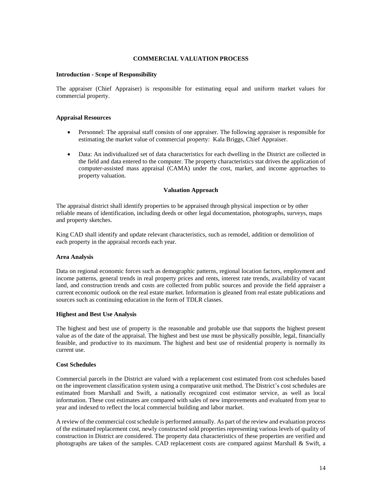## **COMMERCIAL VALUATION PROCESS**

#### **Introduction - Scope of Responsibility**

The appraiser (Chief Appraiser) is responsible for estimating equal and uniform market values for commercial property.

#### **Appraisal Resources**

- Personnel: The appraisal staff consists of one appraiser. The following appraiser is responsible for estimating the market value of commercial property: Kala Briggs, Chief Appraiser.
- Data: An individualized set of data characteristics for each dwelling in the District are collected in the field and data entered to the computer. The property characteristics stat drives the application of computer-assisted mass appraisal (CAMA) under the cost, market, and income approaches to property valuation.

#### **Valuation Approach**

The appraisal district shall identify properties to be appraised through physical inspection or by other reliable means of identification, including deeds or other legal documentation, photographs, surveys, maps and property sketches.

King CAD shall identify and update relevant characteristics, such as remodel, addition or demolition of each property in the appraisal records each year.

#### **Area Analysis**

Data on regional economic forces such as demographic patterns, regional location factors, employment and income patterns, general trends in real property prices and rents, interest rate trends, availability of vacant land, and construction trends and costs are collected from public sources and provide the field appraiser a current economic outlook on the real estate market. Information is gleaned from real estate publications and sources such as continuing education in the form of TDLR classes.

#### **Highest and Best Use Analysis**

The highest and best use of property is the reasonable and probable use that supports the highest present value as of the date of the appraisal. The highest and best use must be physically possible, legal, financially feasible, and productive to its maximum. The highest and best use of residential property is normally its current use.

#### **Cost Schedules**

Commercial parcels in the District are valued with a replacement cost estimated from cost schedules based on the improvement classification system using a comparative unit method. The District's cost schedules are estimated from Marshall and Swift, a nationally recognized cost estimator service, as well as local information. These cost estimates are compared with sales of new improvements and evaluated from year to year and indexed to reflect the local commercial building and labor market.

A review of the commercial cost schedule is performed annually. As part of the review and evaluation process of the estimated replacement cost, newly constructed sold properties representing various levels of quality of construction in District are considered. The property data characteristics of these properties are verified and photographs are taken of the samples. CAD replacement costs are compared against Marshall & Swift, a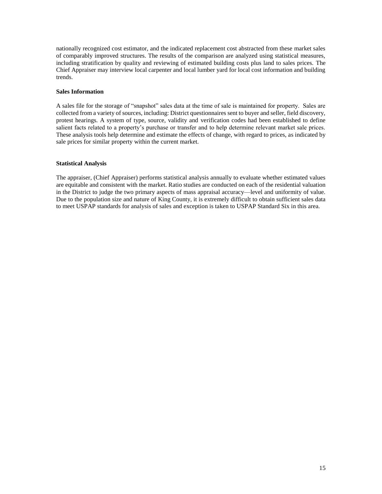nationally recognized cost estimator, and the indicated replacement cost abstracted from these market sales of comparably improved structures. The results of the comparison are analyzed using statistical measures, including stratification by quality and reviewing of estimated building costs plus land to sales prices. The Chief Appraiser may interview local carpenter and local lumber yard for local cost information and building trends.

## **Sales Information**

A sales file for the storage of "snapshot" sales data at the time of sale is maintained for property. Sales are collected from a variety of sources, including: District questionnaires sent to buyer and seller, field discovery, protest hearings. A system of type, source, validity and verification codes had been established to define salient facts related to a property's purchase or transfer and to help determine relevant market sale prices. These analysis tools help determine and estimate the effects of change, with regard to prices, as indicated by sale prices for similar property within the current market.

## **Statistical Analysis**

The appraiser, (Chief Appraiser) performs statistical analysis annually to evaluate whether estimated values are equitable and consistent with the market. Ratio studies are conducted on each of the residential valuation in the District to judge the two primary aspects of mass appraisal accuracy—level and uniformity of value. Due to the population size and nature of King County, it is extremely difficult to obtain sufficient sales data to meet USPAP standards for analysis of sales and exception is taken to USPAP Standard Six in this area.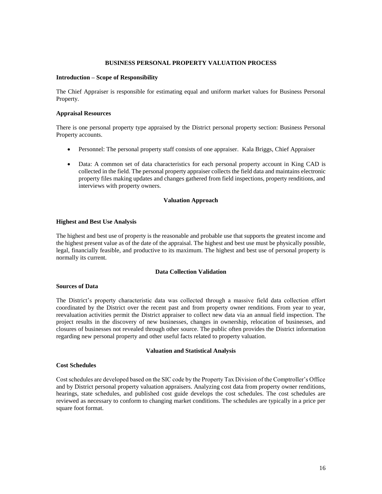#### **BUSINESS PERSONAL PROPERTY VALUATION PROCESS**

#### **Introduction – Scope of Responsibility**

The Chief Appraiser is responsible for estimating equal and uniform market values for Business Personal Property.

#### **Appraisal Resources**

There is one personal property type appraised by the District personal property section: Business Personal Property accounts.

- Personnel: The personal property staff consists of one appraiser. Kala Briggs, Chief Appraiser
- Data: A common set of data characteristics for each personal property account in King CAD is collected in the field. The personal property appraiser collects the field data and maintains electronic property files making updates and changes gathered from field inspections, property renditions, and interviews with property owners.

#### **Valuation Approach**

#### **Highest and Best Use Analysis**

The highest and best use of property is the reasonable and probable use that supports the greatest income and the highest present value as of the date of the appraisal. The highest and best use must be physically possible, legal, financially feasible, and productive to its maximum. The highest and best use of personal property is normally its current.

## **Data Collection Validation**

#### **Sources of Data**

The District's property characteristic data was collected through a massive field data collection effort coordinated by the District over the recent past and from property owner renditions. From year to year, reevaluation activities permit the District appraiser to collect new data via an annual field inspection. The project results in the discovery of new businesses, changes in ownership, relocation of businesses, and closures of businesses not revealed through other source. The public often provides the District information regarding new personal property and other useful facts related to property valuation.

#### **Valuation and Statistical Analysis**

#### **Cost Schedules**

Cost schedules are developed based on the SIC code by the Property Tax Division of the Comptroller's Office and by District personal property valuation appraisers. Analyzing cost data from property owner renditions, hearings, state schedules, and published cost guide develops the cost schedules. The cost schedules are reviewed as necessary to conform to changing market conditions. The schedules are typically in a price per square foot format.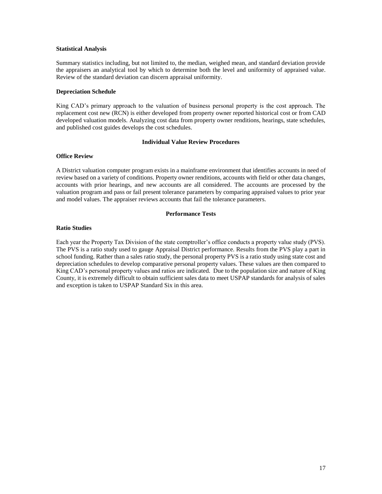## **Statistical Analysis**

Summary statistics including, but not limited to, the median, weighed mean, and standard deviation provide the appraisers an analytical tool by which to determine both the level and uniformity of appraised value. Review of the standard deviation can discern appraisal uniformity.

## **Depreciation Schedule**

King CAD's primary approach to the valuation of business personal property is the cost approach. The replacement cost new (RCN) is either developed from property owner reported historical cost or from CAD developed valuation models. Analyzing cost data from property owner renditions, hearings, state schedules, and published cost guides develops the cost schedules.

## **Individual Value Review Procedures**

## **Office Review**

A District valuation computer program exists in a mainframe environment that identifies accounts in need of review based on a variety of conditions. Property owner renditions, accounts with field or other data changes, accounts with prior hearings, and new accounts are all considered. The accounts are processed by the valuation program and pass or fail present tolerance parameters by comparing appraised values to prior year and model values. The appraiser reviews accounts that fail the tolerance parameters.

#### **Performance Tests**

#### **Ratio Studies**

Each year the Property Tax Division of the state comptroller's office conducts a property value study (PVS). The PVS is a ratio study used to gauge Appraisal District performance. Results from the PVS play a part in school funding. Rather than a sales ratio study, the personal property PVS is a ratio study using state cost and depreciation schedules to develop comparative personal property values. These values are then compared to King CAD's personal property values and ratios are indicated. Due to the population size and nature of King County, it is extremely difficult to obtain sufficient sales data to meet USPAP standards for analysis of sales and exception is taken to USPAP Standard Six in this area.